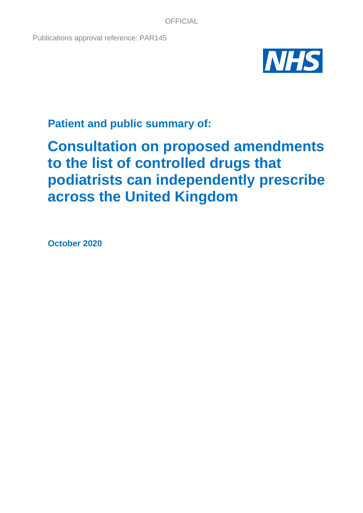Publications approval reference: PAR145



**Patient and public summary of:**

# **Consultation on proposed amendments to the list of controlled drugs that podiatrists can independently prescribe across the United Kingdom**

**October 2020**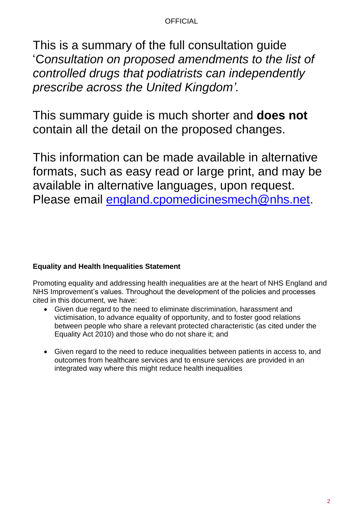This is a summary of the full consultation guide 'C*onsultation on proposed amendments to the list of controlled drugs that podiatrists can independently prescribe across the United Kingdom'.*

This summary guide is much shorter and **does not** contain all the detail on the proposed changes.

This information can be made available in alternative formats, such as easy read or large print, and may be available in alternative languages, upon request. Please email [england.cpomedicinesmech@nhs.net.](mailto:england.cpomedicinesmech@nhs.net)

# **Equality and Health Inequalities Statement**

Promoting equality and addressing health inequalities are at the heart of NHS England and NHS Improvement's values. Throughout the development of the policies and processes cited in this document, we have:

- Given due regard to the need to eliminate discrimination, harassment and victimisation, to advance equality of opportunity, and to foster good relations between people who share a relevant protected characteristic (as cited under the Equality Act 2010) and those who do not share it; and
- Given regard to the need to reduce inequalities between patients in access to, and outcomes from healthcare services and to ensure services are provided in an integrated way where this might reduce health inequalities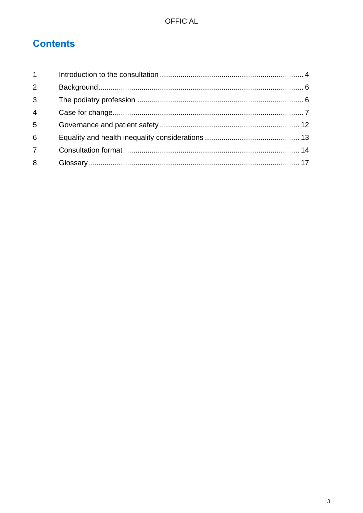# **Contents**

| $1 \quad$      |  |
|----------------|--|
| $\overline{2}$ |  |
| $\overline{3}$ |  |
| $\overline{4}$ |  |
| 5              |  |
| 6              |  |
| $\overline{7}$ |  |
| 8              |  |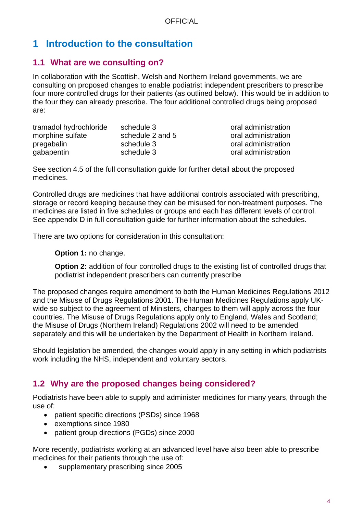# <span id="page-3-0"></span>**1 Introduction to the consultation**

# **1.1 What are we consulting on?**

In collaboration with the Scottish, Welsh and Northern Ireland governments, we are consulting on proposed changes to enable podiatrist independent prescribers to prescribe four more controlled drugs for their patients (as outlined below). This would be in addition to the four they can already prescribe. The four additional controlled drugs being proposed are:

| tramadol hydrochloride | schedule 3       |
|------------------------|------------------|
| morphine sulfate       | schedule 2 and 5 |
| pregabalin             | schedule 3       |
| gabapentin             | schedule 3       |

oral administration oral administration oral administration oral administration

See section 4.5 of the full consultation guide for further detail about the proposed medicines.

Controlled drugs are medicines that have additional controls associated with prescribing, storage or record keeping because they can be misused for non-treatment purposes. The medicines are listed in five schedules or groups and each has different levels of control. See appendix D in full consultation guide for further information about the schedules.

There are two options for consideration in this consultation:

**Option 1:** no change.

**Option 2:** addition of four controlled drugs to the existing list of controlled drugs that podiatrist independent prescribers can currently prescribe

The proposed changes require amendment to both the Human Medicines Regulations 2012 and the Misuse of Drugs Regulations 2001. The Human Medicines Regulations apply UKwide so subject to the agreement of Ministers, changes to them will apply across the four countries. The Misuse of Drugs Regulations apply only to England, Wales and Scotland; the Misuse of Drugs (Northern Ireland) Regulations 2002 will need to be amended separately and this will be undertaken by the Department of Health in Northern Ireland.

Should legislation be amended, the changes would apply in any setting in which podiatrists work including the NHS, independent and voluntary sectors.

# **1.2 Why are the proposed changes being considered?**

Podiatrists have been able to supply and administer medicines for many years, through the use of:

- patient specific directions (PSDs) since 1968
- exemptions since 1980
- patient group directions (PGDs) since 2000

More recently, podiatrists working at an advanced level have also been able to prescribe medicines for their patients through the use of:

• supplementary prescribing since 2005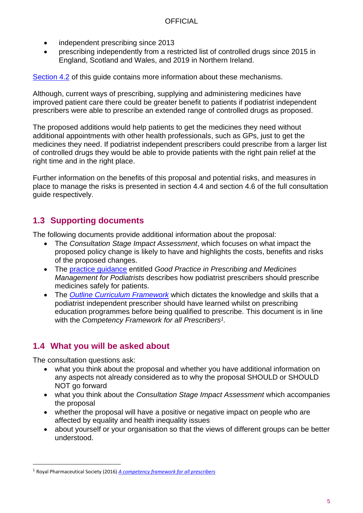- independent prescribing since 2013
- prescribing independently from a restricted list of controlled drugs since 2015 in England, Scotland and Wales, and 2019 in Northern Ireland.

[Section 4.2](#page-8-0) of this guide contains more information about these mechanisms.

Although, current ways of prescribing, supplying and administering medicines have improved patient care there could be greater benefit to patients if podiatrist independent prescribers were able to prescribe an extended range of controlled drugs as proposed.

The proposed additions would help patients to get the medicines they need without additional appointments with other health professionals, such as GPs, just to get the medicines they need. If podiatrist independent prescribers could prescribe from a larger list of controlled drugs they would be able to provide patients with the right pain relief at the right time and in the right place.

Further information on the benefits of this proposal and potential risks, and measures in place to manage the risks is presented in section 4.4 and section 4.6 of the full consultation guide respectively.

# **1.3 Supporting documents**

The following documents provide additional information about the proposal:

- The *Consultation Stage Impact Assessment*, which focuses on what impact the proposed policy change is likely to have and highlights the costs, benefits and risks of the proposed changes.
- The [practice guidance](https://cop.org.uk/the-college/medicines) entitled *Good Practice in Prescribing and Medicines Management for Podiatrists* describes how podiatrist prescribers should prescribe medicines safely for patients.
- The *[Outline Curriculum Framework](http://www.ahpf.org.uk/files/Joint%20OCF%202018%20update%20College%20of%20Paramedics%20March18%20minor%20error%20corrected.pdf)* which dictates the knowledge and skills that a podiatrist independent prescriber should have learned whilst on prescribing education programmes before being qualified to prescribe. This document is in line with the *Competency Framework for all Prescribers<sup>1</sup> .*

# **1.4 What you will be asked about**

The consultation questions ask:

- what you think about the proposal and whether you have additional information on any aspects not already considered as to why the proposal SHOULD or SHOULD NOT go forward
- what you think about the *Consultation Stage Impact Assessment* which accompanies the proposal
- whether the proposal will have a positive or negative impact on people who are affected by equality and health inequality issues
- about yourself or your organisation so that the views of different groups can be better understood.

<sup>1</sup> Royal Pharmaceutical Society (2016) *[A competency framework for all prescribers](https://www.rpharms.com/resources/frameworks/prescribers-competency-framework)*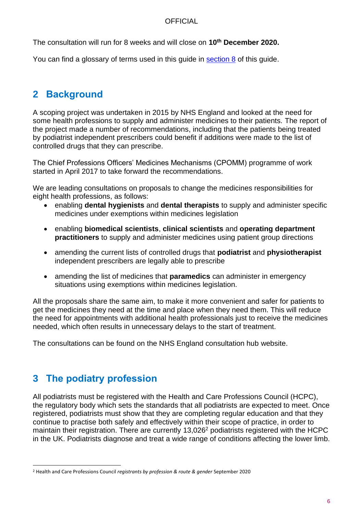The consultation will run for 8 weeks and will close on **10th December 2020.** 

You can find a glossary of terms used in this guide in [section 8](#page-16-0) of this guide.

# <span id="page-5-0"></span>**2 Background**

A scoping project was undertaken in 2015 by NHS England and looked at the need for some health professions to supply and administer medicines to their patients. The report of the project made a number of recommendations, including that the patients being treated by podiatrist independent prescribers could benefit if additions were made to the list of controlled drugs that they can prescribe.

The Chief Professions Officers' Medicines Mechanisms (CPOMM) programme of work started in April 2017 to take forward the recommendations.

We are leading consultations on proposals to change the medicines responsibilities for eight health professions, as follows:

- enabling **dental hygienists** and **dental therapists** to supply and administer specific medicines under exemptions within medicines legislation
- enabling **biomedical scientists**, **clinical scientists** and **operating department practitioners** to supply and administer medicines using patient group directions
- amending the current lists of controlled drugs that **podiatrist** and **physiotherapist** independent prescribers are legally able to prescribe
- amending the list of medicines that **paramedics** can administer in emergency situations using exemptions within medicines legislation.

All the proposals share the same aim, to make it more convenient and safer for patients to get the medicines they need at the time and place when they need them. This will reduce the need for appointments with additional health professionals just to receive the medicines needed, which often results in unnecessary delays to the start of treatment.

The consultations can be found on the NHS England consultation hub website.

# <span id="page-5-1"></span>**3 The podiatry profession**

All podiatrists must be registered with the Health and Care Professions Council (HCPC), the regulatory body which sets the standards that all podiatrists are expected to meet. Once registered, podiatrists must show that they are completing regular education and that they continue to practise both safely and effectively within their scope of practice, in order to maintain their registration. There are currently 13,026<sup>2</sup> podiatrists registered with the HCPC in the UK. Podiatrists diagnose and treat a wide range of conditions affecting the lower limb.

<sup>2</sup> Health and Care Professions Council *registrants by profession & route & gender* September 2020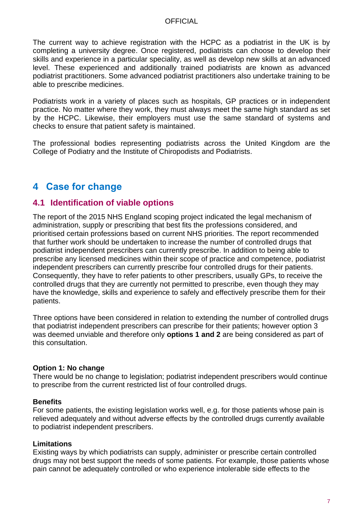The current way to achieve registration with the HCPC as a podiatrist in the UK is by completing a university degree. Once registered, podiatrists can choose to develop their skills and experience in a particular speciality, as well as develop new skills at an advanced level. These experienced and additionally trained podiatrists are known as advanced podiatrist practitioners. Some advanced podiatrist practitioners also undertake training to be able to prescribe medicines.

Podiatrists work in a variety of places such as hospitals, GP practices or in independent practice. No matter where they work, they must always meet the same high standard as set by the HCPC. Likewise, their employers must use the same standard of systems and checks to ensure that patient safety is maintained.

The professional bodies representing podiatrists across the United Kingdom are the College of Podiatry and the Institute of Chiropodists and Podiatrists.

# <span id="page-6-0"></span>**4 Case for change**

### **4.1 Identification of viable options**

The report of the 2015 NHS England scoping project indicated the legal mechanism of administration, supply or prescribing that best fits the professions considered, and prioritised certain professions based on current NHS priorities. The report recommended that further work should be undertaken to increase the number of controlled drugs that podiatrist independent prescribers can currently prescribe. In addition to being able to prescribe any licensed medicines within their scope of practice and competence, podiatrist independent prescribers can currently prescribe four controlled drugs for their patients. Consequently, they have to refer patients to other prescribers, usually GPs, to receive the controlled drugs that they are currently not permitted to prescribe, even though they may have the knowledge, skills and experience to safely and effectively prescribe them for their patients.

Three options have been considered in relation to extending the number of controlled drugs that podiatrist independent prescribers can prescribe for their patients; however option 3 was deemed unviable and therefore only **options 1 and 2** are being considered as part of this consultation.

#### **Option 1: No change**

There would be no change to legislation; podiatrist independent prescribers would continue to prescribe from the current restricted list of four controlled drugs.

#### **Benefits**

For some patients, the existing legislation works well, e.g. for those patients whose pain is relieved adequately and without adverse effects by the controlled drugs currently available to podiatrist independent prescribers.

#### **Limitations**

Existing ways by which podiatrists can supply, administer or prescribe certain controlled drugs may not best support the needs of some patients. For example, those patients whose pain cannot be adequately controlled or who experience intolerable side effects to the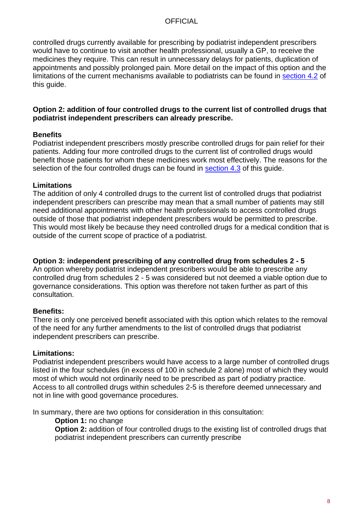controlled drugs currently available for prescribing by podiatrist independent prescribers would have to continue to visit another health professional, usually a GP, to receive the medicines they require. This can result in unnecessary delays for patients, duplication of appointments and possibly prolonged pain. More detail on the impact of this option and the limitations of the current mechanisms available to podiatrists can be found in [section 4.2](#page-8-0) of this guide.

#### **Option 2: addition of four controlled drugs to the current list of controlled drugs that podiatrist independent prescribers can already prescribe.**

#### **Benefits**

Podiatrist independent prescribers mostly prescribe controlled drugs for pain relief for their patients. Adding four more controlled drugs to the current list of controlled drugs would benefit those patients for whom these medicines work most effectively. The reasons for the selection of the four controlled drugs can be found in section 4.3 of this guide.

#### **Limitations**

The addition of only 4 controlled drugs to the current list of controlled drugs that podiatrist independent prescribers can prescribe may mean that a small number of patients may still need additional appointments with other health professionals to access controlled drugs outside of those that podiatrist independent prescribers would be permitted to prescribe. This would most likely be because they need controlled drugs for a medical condition that is outside of the current scope of practice of a podiatrist.

#### **Option 3: independent prescribing of any controlled drug from schedules 2 - 5**

An option whereby podiatrist independent prescribers would be able to prescribe any controlled drug from schedules 2 - 5 was considered but not deemed a viable option due to governance considerations. This option was therefore not taken further as part of this consultation.

#### **Benefits:**

There is only one perceived benefit associated with this option which relates to the removal of the need for any further amendments to the list of controlled drugs that podiatrist independent prescribers can prescribe.

#### **Limitations:**

Podiatrist independent prescribers would have access to a large number of controlled drugs listed in the four schedules (in excess of 100 in schedule 2 alone) most of which they would most of which would not ordinarily need to be prescribed as part of podiatry practice. Access to all controlled drugs within schedules 2-5 is therefore deemed unnecessary and not in line with good governance procedures.

In summary, there are two options for consideration in this consultation:

**Option 1:** no change

**Option 2:** addition of four controlled drugs to the existing list of controlled drugs that podiatrist independent prescribers can currently prescribe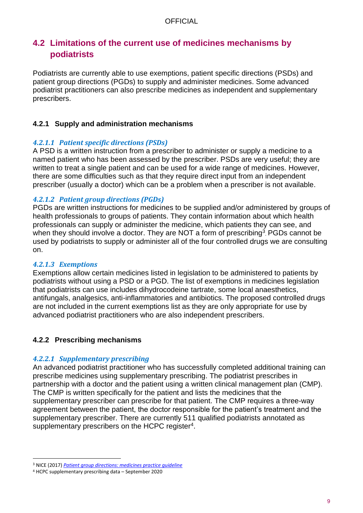# <span id="page-8-0"></span>**4.2 Limitations of the current use of medicines mechanisms by podiatrists**

Podiatrists are currently able to use exemptions, patient specific directions (PSDs) and patient group directions (PGDs) to supply and administer medicines. Some advanced podiatrist practitioners can also prescribe medicines as independent and supplementary prescribers.

#### **4.2.1 Supply and administration mechanisms**

#### *4.2.1.1 Patient specific directions (PSDs)*

A PSD is a written instruction from a prescriber to administer or supply a medicine to a named patient who has been assessed by the prescriber. PSDs are very useful; they are written to treat a single patient and can be used for a wide range of medicines. However, there are some difficulties such as that they require direct input from an independent prescriber (usually a doctor) which can be a problem when a prescriber is not available.

#### *4.2.1.2 Patient group directions (PGDs)*

PGDs are written instructions for medicines to be supplied and/or administered by groups of health professionals to groups of patients. They contain information about which health professionals can supply or administer the medicine, which patients they can see, and when they should involve a doctor. They are NOT a form of prescribing<sup>3</sup>. PGDs cannot be used by podiatrists to supply or administer all of the four controlled drugs we are consulting on.

#### *4.2.1.3 Exemptions*

Exemptions allow certain medicines listed in legislation to be administered to patients by podiatrists without using a PSD or a PGD. The list of exemptions in medicines legislation that podiatrists can use includes dihydrocodeine tartrate, some local anaesthetics, antifungals, analgesics, anti-inflammatories and antibiotics. The proposed controlled drugs are not included in the current exemptions list as they are only appropriate for use by advanced podiatrist practitioners who are also independent prescribers.

#### **4.2.2 Prescribing mechanisms**

#### *4.2.2.1 Supplementary prescribing*

An advanced podiatrist practitioner who has successfully completed additional training can prescribe medicines using supplementary prescribing. The podiatrist prescribes in partnership with a doctor and the patient using a written clinical management plan (CMP). The CMP is written specifically for the patient and lists the medicines that the supplementary prescriber can prescribe for that patient. The CMP requires a three-way agreement between the patient, the doctor responsible for the patient's treatment and the supplementary prescriber. There are currently 511 qualified podiatrists annotated as supplementary prescribers on the HCPC register<sup>4</sup>.

<sup>3</sup> NICE (2017) *[Patient group directions: medicines practice guideline](https://www.nice.org.uk/guidance/mpg2)*

<sup>4</sup> HCPC supplementary prescribing data – September 2020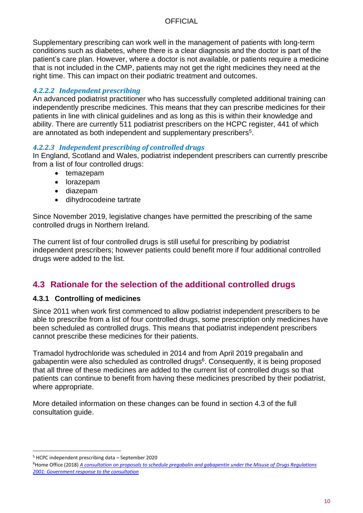Supplementary prescribing can work well in the management of patients with long-term conditions such as diabetes, where there is a clear diagnosis and the doctor is part of the patient's care plan. However, where a doctor is not available, or patients require a medicine that is not included in the CMP, patients may not get the right medicines they need at the right time. This can impact on their podiatric treatment and outcomes.

#### *4.2.2.2 Independent prescribing*

An advanced podiatrist practitioner who has successfully completed additional training can independently prescribe medicines. This means that they can prescribe medicines for their patients in line with clinical guidelines and as long as this is within their knowledge and ability. There are currently 511 podiatrist prescribers on the HCPC register, 441 of which are annotated as both independent and supplementary prescribers $5$ .

#### *4.2.2.3 Independent prescribing of controlled drugs*

In England, Scotland and Wales, podiatrist independent prescribers can currently prescribe from a list of four controlled drugs:

- temazepam
- lorazepam
- diazepam
- dihydrocodeine tartrate

Since November 2019, legislative changes have permitted the prescribing of the same controlled drugs in Northern Ireland.

The current list of four controlled drugs is still useful for prescribing by podiatrist independent prescribers; however patients could benefit more if four additional controlled drugs were added to the list.

# **4.3 Rationale for the selection of the additional controlled drugs**

#### **4.3.1 Controlling of medicines**

Since 2011 when work first commenced to allow podiatrist independent prescribers to be able to prescribe from a list of four controlled drugs, some prescription only medicines have been scheduled as controlled drugs. This means that podiatrist independent prescribers cannot prescribe these medicines for their patients.

Tramadol hydrochloride was scheduled in 2014 and from April 2019 pregabalin and gabapentin were also scheduled as controlled drugs<sup>6</sup>. Consequently, it is being proposed that all three of these medicines are added to the current list of controlled drugs so that patients can continue to benefit from having these medicines prescribed by their podiatrist, where appropriate.

More detailed information on these changes can be found in section 4.3 of the full consultation guide.

<sup>5</sup> HCPC independent prescribing data – September 2020

<sup>6</sup>Home Office (2018) *[A consultation on proposals to schedule pregabalin and gabapentin under the Misuse of Drugs Regulations](https://assets.publishing.service.gov.uk/government/uploads/system/uploads/attachment_data/file/748439/consultation-response-pregabalin-gabapentin.pdf)  [2001: Government response to the consultation](https://assets.publishing.service.gov.uk/government/uploads/system/uploads/attachment_data/file/748439/consultation-response-pregabalin-gabapentin.pdf)*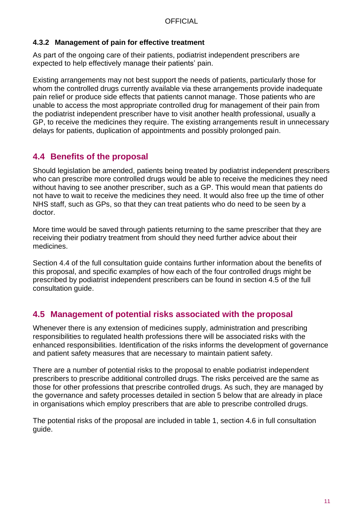#### **4.3.2 Management of pain for effective treatment**

As part of the ongoing care of their patients, podiatrist independent prescribers are expected to help effectively manage their patients' pain.

Existing arrangements may not best support the needs of patients, particularly those for whom the controlled drugs currently available via these arrangements provide inadequate pain relief or produce side effects that patients cannot manage. Those patients who are unable to access the most appropriate controlled drug for management of their pain from the podiatrist independent prescriber have to visit another health professional, usually a GP, to receive the medicines they require. The existing arrangements result in unnecessary delays for patients, duplication of appointments and possibly prolonged pain.

# **4.4 Benefits of the proposal**

Should legislation be amended, patients being treated by podiatrist independent prescribers who can prescribe more controlled drugs would be able to receive the medicines they need without having to see another prescriber, such as a GP. This would mean that patients do not have to wait to receive the medicines they need. It would also free up the time of other NHS staff, such as GPs, so that they can treat patients who do need to be seen by a doctor.

More time would be saved through patients returning to the same prescriber that they are receiving their podiatry treatment from should they need further advice about their medicines.

Section 4.4 of the full consultation guide contains further information about the benefits of this proposal, and specific examples of how each of the four controlled drugs might be prescribed by podiatrist independent prescribers can be found in section 4.5 of the full consultation guide.

# **4.5 Management of potential risks associated with the proposal**

Whenever there is any extension of medicines supply, administration and prescribing responsibilities to regulated health professions there will be associated risks with the enhanced responsibilities. Identification of the risks informs the development of governance and patient safety measures that are necessary to maintain patient safety.

There are a number of potential risks to the proposal to enable podiatrist independent prescribers to prescribe additional controlled drugs. The risks perceived are the same as those for other professions that prescribe controlled drugs. As such, they are managed by the governance and safety processes detailed in section 5 below that are already in place in organisations which employ prescribers that are able to prescribe controlled drugs.

The potential risks of the proposal are included in table 1, section 4.6 in full consultation guide.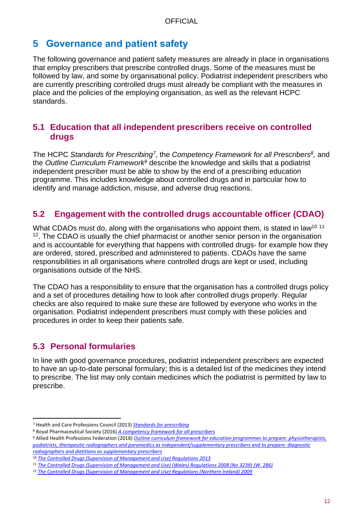# <span id="page-11-0"></span>**5 Governance and patient safety**

The following governance and patient safety measures are already in place in organisations that employ prescribers that prescribe controlled drugs. Some of the measures must be followed by law, and some by organisational policy. Podiatrist independent prescribers who are currently prescribing controlled drugs must already be compliant with the measures in place and the policies of the employing organisation, as well as the relevant HCPC standards.

### **5.1 Education that all independent prescribers receive on controlled drugs**

The HCPC Standards for Prescribing<sup>7</sup>, the Competency Framework for all Prescribers<sup>8</sup>, and the *Outline Curriculum Framework<sup>9</sup>* describe the knowledge and skills that a podiatrist independent prescriber must be able to show by the end of a prescribing education programme. This includes knowledge about controlled drugs and in particular how to identify and manage addiction, misuse, and adverse drug reactions.

# **5.2 Engagement with the controlled drugs accountable officer (CDAO)**

What CDAOs must do, along with the organisations who appoint them, is stated in law<sup>10 11</sup> <sup>12</sup>. The CDAO is usually the chief pharmacist or another senior person in the organisation and is accountable for everything that happens with controlled drugs- for example how they are ordered, stored, prescribed and administered to patients. CDAOs have the same responsibilities in all organisations where controlled drugs are kept or used, including organisations outside of the NHS.

The CDAO has a responsibility to ensure that the organisation has a controlled drugs policy and a set of procedures detailing how to look after controlled drugs properly. Regular checks are also required to make sure these are followed by everyone who works in the organisation. Podiatrist independent prescribers must comply with these policies and procedures in order to keep their patients safe.

# **5.3 Personal formularies**

In line with good governance procedures, podiatrist independent prescribers are expected to have an up-to-date personal formulary; this is a detailed list of the medicines they intend to prescribe. The list may only contain medicines which the podiatrist is permitted by law to prescribe.

<sup>7</sup> Health and Care Professions Council (2013) *[Standards for prescribing](https://www.hcpc-uk.org/resources/standards/standards-for-prescribing/)*

<sup>8</sup> Royal Pharmaceutical Society (2016) *[A competency framework for all prescribers](https://www.rpharms.com/resources/frameworks/prescribers-competency-framework)*

<sup>9</sup> Allied Health Professions Federation (2018) *[Outline curriculum framework for education programmes to prepare: physiotherapists,](http://www.ahpf.org.uk/files/Joint%20OCF%202018%20update%20College%20of%20Paramedics%20March18%20minor%20error%20corrected.pdf)  podiatrists, therapeutic radiographers and paramedics [as independent/supplementary prescribers and to prepare: diagnostic](http://www.ahpf.org.uk/files/Joint%20OCF%202018%20update%20College%20of%20Paramedics%20March18%20minor%20error%20corrected.pdf)  [radiographers and dietitians as supplementary prescribers](http://www.ahpf.org.uk/files/Joint%20OCF%202018%20update%20College%20of%20Paramedics%20March18%20minor%20error%20corrected.pdf)*

<sup>10</sup> *[The Controlled Drugs \(Supervision of Management and Use\) Regulations 2013](http://www.legislation.gov.uk/uksi/2013/373/regulation/11/made)*

<sup>11</sup> *[The Controlled Drugs \(Supervision of Management and Use\) \(Wales\) Regulations 2008 \(No 3239\)](http://www.legislation.gov.uk/wsi/2008/3239/contents/made) (W. 286)* 

<sup>12</sup> *[The Controlled Drugs \(Supervision of Management and Use\) Regulations \(Northern Ireland\) 2009](http://www.legislation.gov.uk/nisr/2009/225/contents/made)*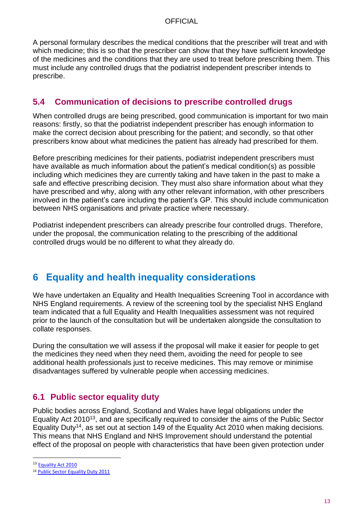A personal formulary describes the medical conditions that the prescriber will treat and with which medicine; this is so that the prescriber can show that they have sufficient knowledge of the medicines and the conditions that they are used to treat before prescribing them. This must include any controlled drugs that the podiatrist independent prescriber intends to prescribe.

# **5.4 Communication of decisions to prescribe controlled drugs**

When controlled drugs are being prescribed, good communication is important for two main reasons: firstly, so that the podiatrist independent prescriber has enough information to make the correct decision about prescribing for the patient; and secondly, so that other prescribers know about what medicines the patient has already had prescribed for them.

Before prescribing medicines for their patients, podiatrist independent prescribers must have available as much information about the patient's medical condition(s) as possible including which medicines they are currently taking and have taken in the past to make a safe and effective prescribing decision. They must also share information about what they have prescribed and why, along with any other relevant information, with other prescribers involved in the patient's care including the patient's GP. This should include communication between NHS organisations and private practice where necessary.

Podiatrist independent prescribers can already prescribe four controlled drugs. Therefore, under the proposal, the communication relating to the prescribing of the additional controlled drugs would be no different to what they already do.

# <span id="page-12-0"></span>**6 Equality and health inequality considerations**

We have undertaken an Equality and Health Inequalities Screening Tool in accordance with NHS England requirements. A review of the screening tool by the specialist NHS England team indicated that a full Equality and Health Inequalities assessment was not required prior to the launch of the consultation but will be undertaken alongside the consultation to collate responses.

During the consultation we will assess if the proposal will make it easier for people to get the medicines they need when they need them, avoiding the need for people to see additional health professionals just to receive medicines. This may remove or minimise disadvantages suffered by vulnerable people when accessing medicines.

# **6.1 Public sector equality duty**

Public bodies across England, Scotland and Wales have legal obligations under the Equality Act 2010<sup>13</sup>, and are specifically required to consider the aims of the Public Sector Equality Duty<sup>14</sup>, as set out at section 149 of the Equality Act 2010 when making decisions. This means that NHS England and NHS Improvement should understand the potential effect of the proposal on people with characteristics that have been given protection under

<sup>&</sup>lt;sup>13</sup> [Equality Act 2010](http://www.legislation.gov.uk/ukpga/2010/15/contents)

<sup>14</sup> [Public Sector Equality Duty 2011](https://www.gov.uk/government/publications/public-sector-equality-duty)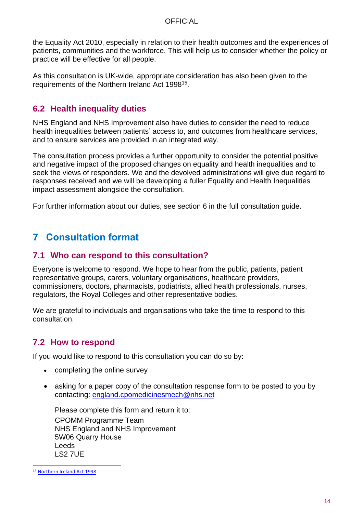the Equality Act 2010, especially in relation to their health outcomes and the experiences of patients, communities and the workforce. This will help us to consider whether the policy or practice will be effective for all people.

As this consultation is UK-wide, appropriate consideration has also been given to the requirements of the Northern Ireland Act 1998<sup>15</sup>.

### **6.2 Health inequality duties**

NHS England and NHS Improvement also have duties to consider the need to reduce health inequalities between patients' access to, and outcomes from healthcare services, and to ensure services are provided in an integrated way.

The consultation process provides a further opportunity to consider the potential positive and negative impact of the proposed changes on equality and health inequalities and to seek the views of responders. We and the devolved administrations will give due regard to responses received and we will be developing a fuller Equality and Health Inequalities impact assessment alongside the consultation.

For further information about our duties, see section 6 in the full consultation guide.

# <span id="page-13-0"></span>**7 Consultation format**

#### **7.1 Who can respond to this consultation?**

Everyone is welcome to respond. We hope to hear from the public, patients, patient representative groups, carers, voluntary organisations, healthcare providers, commissioners, doctors, pharmacists, podiatrists, allied health professionals, nurses, regulators, the Royal Colleges and other representative bodies.

We are grateful to individuals and organisations who take the time to respond to this consultation.

# **7.2 How to respond**

If you would like to respond to this consultation you can do so by:

- completing the online survey
- asking for a paper copy of the consultation response form to be posted to you by contacting: [england.cpomedicinesmech@nhs.net](mailto:england.cpomedicinesmech@nhs.net)

Please complete this form and return it to: CPOMM Programme Team NHS England and NHS Improvement 5W06 Quarry House Leeds LS2 7UE

<sup>15</sup> [Northern Ireland Act 1998](http://www.legislation.gov.uk/ukpga/1998/47/contents)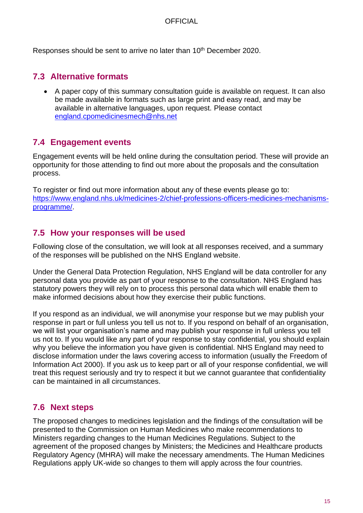Responses should be sent to arrive no later than 10<sup>th</sup> December 2020.

# **7.3 Alternative formats**

• A paper copy of this summary consultation guide is available on request. It can also be made available in formats such as large print and easy read, and may be available in alternative languages, upon request. Please contact [england.cpomedicinesmech@nhs.net](mailto:england.cpomedicinesmech@nhs.net)

# **7.4 Engagement events**

Engagement events will be held online during the consultation period. These will provide an opportunity for those attending to find out more about the proposals and the consultation process.

To register or find out more information about any of these events please go to: [https://www.england.nhs.uk/medicines-2/chief-professions-officers-medicines-mechanisms](https://www.england.nhs.uk/medicines-2/chief-professions-officers-medicines-mechanisms-programme/)[programme/.](https://www.england.nhs.uk/medicines-2/chief-professions-officers-medicines-mechanisms-programme/)

# **7.5 How your responses will be used**

Following close of the consultation, we will look at all responses received, and a summary of the responses will be published on the NHS England website.

Under the General Data Protection Regulation, NHS England will be data controller for any personal data you provide as part of your response to the consultation. NHS England has statutory powers they will rely on to process this personal data which will enable them to make informed decisions about how they exercise their public functions.

If you respond as an individual, we will anonymise your response but we may publish your response in part or full unless you tell us not to. If you respond on behalf of an organisation, we will list your organisation's name and may publish your response in full unless you tell us not to. If you would like any part of your response to stay confidential, you should explain why you believe the information you have given is confidential. NHS England may need to disclose information under the laws covering access to information (usually the Freedom of Information Act 2000). If you ask us to keep part or all of your response confidential, we will treat this request seriously and try to respect it but we cannot guarantee that confidentiality can be maintained in all circumstances.

# **7.6 Next steps**

The proposed changes to medicines legislation and the findings of the consultation will be presented to the Commission on Human Medicines who make recommendations to Ministers regarding changes to the Human Medicines Regulations. Subject to the agreement of the proposed changes by Ministers; the Medicines and Healthcare products Regulatory Agency (MHRA) will make the necessary amendments. The Human Medicines Regulations apply UK-wide so changes to them will apply across the four countries.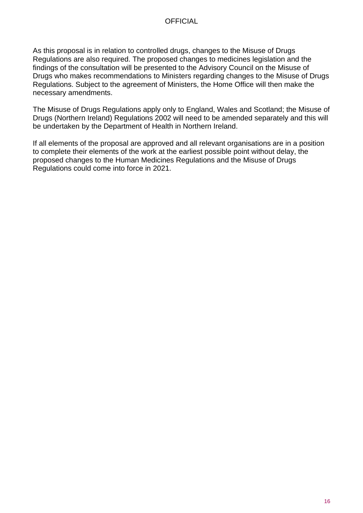As this proposal is in relation to controlled drugs, changes to the Misuse of Drugs Regulations are also required. The proposed changes to medicines legislation and the findings of the consultation will be presented to the Advisory Council on the Misuse of Drugs who makes recommendations to Ministers regarding changes to the Misuse of Drugs Regulations. Subject to the agreement of Ministers, the Home Office will then make the necessary amendments.

The Misuse of Drugs Regulations apply only to England, Wales and Scotland; the Misuse of Drugs (Northern Ireland) Regulations 2002 will need to be amended separately and this will be undertaken by the Department of Health in Northern Ireland.

If all elements of the proposal are approved and all relevant organisations are in a position to complete their elements of the work at the earliest possible point without delay, the proposed changes to the Human Medicines Regulations and the Misuse of Drugs Regulations could come into force in 2021.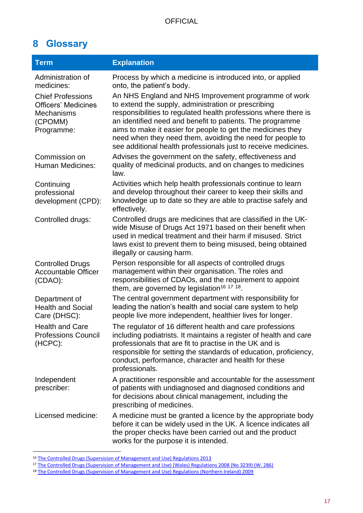# <span id="page-16-0"></span>**8 Glossary**

| <b>Term</b>                                                                                          | <b>Explanation</b>                                                                                                                                                                                                                                                                                                                                                                                                                        |
|------------------------------------------------------------------------------------------------------|-------------------------------------------------------------------------------------------------------------------------------------------------------------------------------------------------------------------------------------------------------------------------------------------------------------------------------------------------------------------------------------------------------------------------------------------|
| Administration of<br>medicines:                                                                      | Process by which a medicine is introduced into, or applied<br>onto, the patient's body.                                                                                                                                                                                                                                                                                                                                                   |
| <b>Chief Professions</b><br><b>Officers' Medicines</b><br><b>Mechanisms</b><br>(CPOMM)<br>Programme: | An NHS England and NHS Improvement programme of work<br>to extend the supply, administration or prescribing<br>responsibilities to regulated health professions where there is<br>an identified need and benefit to patients. The programme<br>aims to make it easier for people to get the medicines they<br>need when they need them, avoiding the need for people to<br>see additional health professionals just to receive medicines. |
| Commission on<br><b>Human Medicines:</b>                                                             | Advises the government on the safety, effectiveness and<br>quality of medicinal products, and on changes to medicines<br>law.                                                                                                                                                                                                                                                                                                             |
| Continuing<br>professional<br>development (CPD):                                                     | Activities which help health professionals continue to learn<br>and develop throughout their career to keep their skills and<br>knowledge up to date so they are able to practise safely and<br>effectively.                                                                                                                                                                                                                              |
| Controlled drugs:                                                                                    | Controlled drugs are medicines that are classified in the UK-<br>wide Misuse of Drugs Act 1971 based on their benefit when<br>used in medical treatment and their harm if misused. Strict<br>laws exist to prevent them to being misused, being obtained<br>illegally or causing harm.                                                                                                                                                    |
| <b>Controlled Drugs</b><br><b>Accountable Officer</b><br>(CDAO):                                     | Person responsible for all aspects of controlled drugs<br>management within their organisation. The roles and<br>responsibilities of CDAOs, and the requirement to appoint<br>them, are governed by legislation <sup>16 17 18</sup> .                                                                                                                                                                                                     |
| Department of<br><b>Health and Social</b><br>Care (DHSC):                                            | The central government department with responsibility for<br>leading the nation's health and social care system to help<br>people live more independent, healthier lives for longer.                                                                                                                                                                                                                                                      |
| <b>Health and Care</b><br><b>Professions Council</b><br>(HCPC):                                      | The regulator of 16 different health and care professions<br>including podiatrists. It maintains a register of health and care<br>professionals that are fit to practise in the UK and is<br>responsible for setting the standards of education, proficiency,<br>conduct, performance, character and health for these<br>professionals.                                                                                                   |
| Independent<br>prescriber:                                                                           | A practitioner responsible and accountable for the assessment<br>of patients with undiagnosed and diagnosed conditions and<br>for decisions about clinical management, including the<br>prescribing of medicines.                                                                                                                                                                                                                         |
| Licensed medicine:                                                                                   | A medicine must be granted a licence by the appropriate body<br>before it can be widely used in the UK. A licence indicates all<br>the proper checks have been carried out and the product<br>works for the purpose it is intended.                                                                                                                                                                                                       |

<sup>&</sup>lt;sup>16</sup> [The Controlled Drugs \(Supervision of Management and Use\) Regulations 2013](http://www.legislation.gov.uk/uksi/2013/373/regulation/11/made)

<sup>17</sup> [The Controlled Drugs \(Supervision of Management and Use\) \(Wales\) Regulations 2008 \(No 3239\) \(W. 286\)](http://www.legislation.gov.uk/wsi/2008/3239/contents/made) 

<sup>18</sup> [The Controlled Drugs \(Supervision of Management and Use\) Regulations \(Northern Ireland\) 2009](http://www.legislation.gov.uk/nisr/2009/225/contents/made)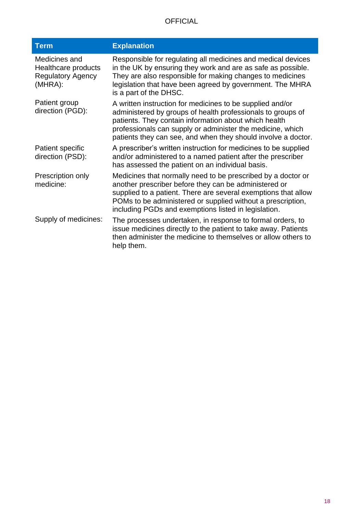| <b>Term</b>                                                                 | <b>Explanation</b>                                                                                                                                                                                                                                                                                               |
|-----------------------------------------------------------------------------|------------------------------------------------------------------------------------------------------------------------------------------------------------------------------------------------------------------------------------------------------------------------------------------------------------------|
| Medicines and<br>Healthcare products<br><b>Regulatory Agency</b><br>(MHRA): | Responsible for regulating all medicines and medical devices<br>in the UK by ensuring they work and are as safe as possible.<br>They are also responsible for making changes to medicines<br>legislation that have been agreed by government. The MHRA<br>is a part of the DHSC.                                 |
| Patient group<br>direction (PGD):                                           | A written instruction for medicines to be supplied and/or<br>administered by groups of health professionals to groups of<br>patients. They contain information about which health<br>professionals can supply or administer the medicine, which<br>patients they can see, and when they should involve a doctor. |
| Patient specific<br>direction (PSD):                                        | A prescriber's written instruction for medicines to be supplied<br>and/or administered to a named patient after the prescriber<br>has assessed the patient on an individual basis.                                                                                                                               |
| Prescription only<br>medicine:                                              | Medicines that normally need to be prescribed by a doctor or<br>another prescriber before they can be administered or<br>supplied to a patient. There are several exemptions that allow<br>POMs to be administered or supplied without a prescription,<br>including PGDs and exemptions listed in legislation.   |
| Supply of medicines:                                                        | The processes undertaken, in response to formal orders, to<br>issue medicines directly to the patient to take away. Patients<br>then administer the medicine to themselves or allow others to<br>help them.                                                                                                      |